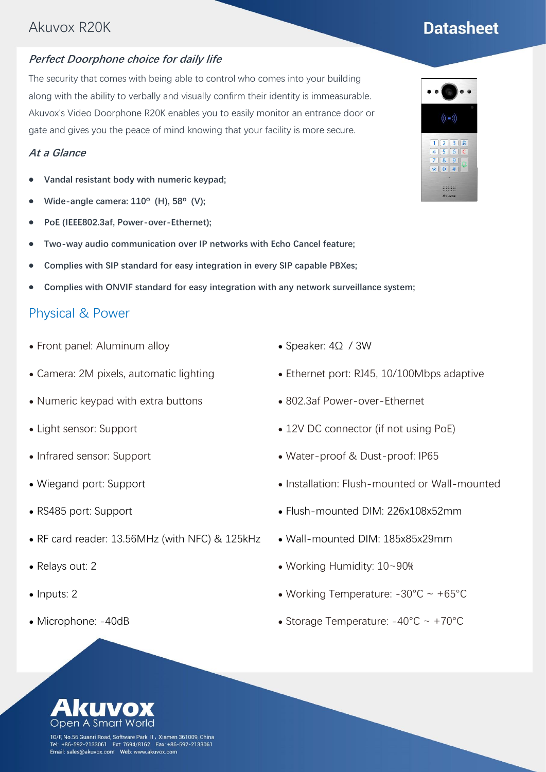# Akuvox R20K

#### **Perfect Doorphone choice for daily life**

The security that comes with being able to control who comes into your building along with the ability to verbally and visually confirm their identity is immeasurable. Akuvox's Video Doorphone R20K enables you to easily monitor an entrance door or gate and gives you the peace of mind knowing that your facility is more secure.

#### **At a Glance**

- ⚫ **Vandal resistant body with numeric keypad;**
- ⚫ **Wide-angle camera: 110º (H), 58º (V);**
- ⚫ **PoE (IEEE802.3af, Power-over-Ethernet);**
- ⚫ **Two-way audio communication over IP networks with Echo Cancel feature;**
- ⚫ **Complies with SIP standard for easy integration in every SIP capable PBXes;**
- ⚫ **Complies with ONVIF standard for easy integration with any network surveillance system;**

#### Physical & Power

- ⚫ Front panel: Aluminum alloy
- ⚫ Camera: 2M pixels, automatic lighting
- ⚫ Numeric keypad with extra buttons
- ⚫ Light sensor: Support
- ⚫ Infrared sensor: Support
- ⚫ Wiegand port: Support
- ⚫ RS485 port: Support
- ⚫ RF card reader: 13.56MHz (with NFC) & 125kHz
- ⚫ Relays out: 2
- Inputs: 2
- ⚫ Microphone: -40dB
- ⚫ Speaker: 4Ω / 3W
- Ethernet port: RJ45, 10/100Mbps adaptive
- ⚫ 802.3af Power-over-Ethernet
- 12V DC connector (if not using PoE)
- ⚫ Water-proof & Dust-proof: IP65
- ⚫ Installation: Flush-mounted or Wall-mounted
- ⚫ Flush-mounted DIM: 226x108x52mm
- ⚫ Wall-mounted DIM: 185x85x29mm
- ⚫ Working Humidity: 10~90%
- Working Temperature:  $-30^{\circ}$ C ~  $+65^{\circ}$ C
- ⚫ Storage Temperature: -40°C ~ +70°C





# **Datasheet**